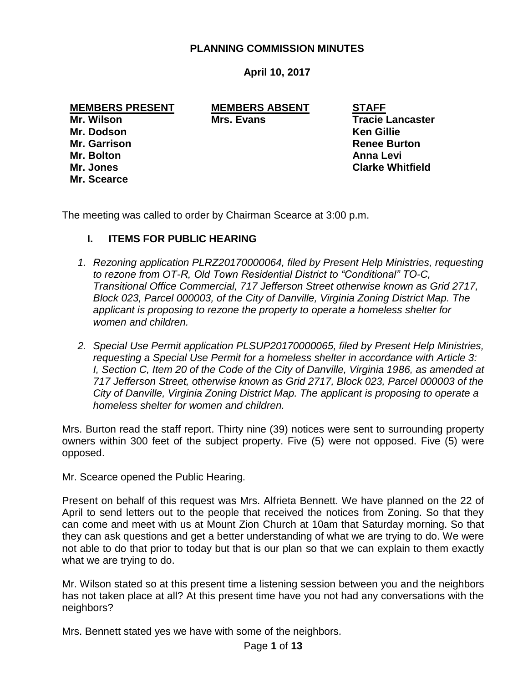## **PLANNING COMMISSION MINUTES**

## **April 10, 2017**

**Mr. Dodson Ken Gillie Mr. Bolton Anna Levi Mr. Scearce**

**MEMBERS PRESENT MEMBERS ABSENT STAFF Mrs. Evans Tracie Lancaster** 

**Mr. Garrison Renee Burton Mr. Jones Clarke Whitfield**

The meeting was called to order by Chairman Scearce at 3:00 p.m.

## **I. ITEMS FOR PUBLIC HEARING**

- *1. Rezoning application PLRZ20170000064, filed by Present Help Ministries, requesting to rezone from OT-R, Old Town Residential District to "Conditional" TO-C, Transitional Office Commercial, 717 Jefferson Street otherwise known as Grid 2717, Block 023, Parcel 000003, of the City of Danville, Virginia Zoning District Map. The applicant is proposing to rezone the property to operate a homeless shelter for women and children.*
- *2. Special Use Permit application PLSUP20170000065, filed by Present Help Ministries, requesting a Special Use Permit for a homeless shelter in accordance with Article 3: I, Section C, Item 20 of the Code of the City of Danville, Virginia 1986, as amended at 717 Jefferson Street, otherwise known as Grid 2717, Block 023, Parcel 000003 of the City of Danville, Virginia Zoning District Map. The applicant is proposing to operate a homeless shelter for women and children.*

Mrs. Burton read the staff report. Thirty nine (39) notices were sent to surrounding property owners within 300 feet of the subject property. Five (5) were not opposed. Five (5) were opposed.

Mr. Scearce opened the Public Hearing.

Present on behalf of this request was Mrs. Alfrieta Bennett. We have planned on the 22 of April to send letters out to the people that received the notices from Zoning. So that they can come and meet with us at Mount Zion Church at 10am that Saturday morning. So that they can ask questions and get a better understanding of what we are trying to do. We were not able to do that prior to today but that is our plan so that we can explain to them exactly what we are trying to do.

Mr. Wilson stated so at this present time a listening session between you and the neighbors has not taken place at all? At this present time have you not had any conversations with the neighbors?

Mrs. Bennett stated yes we have with some of the neighbors.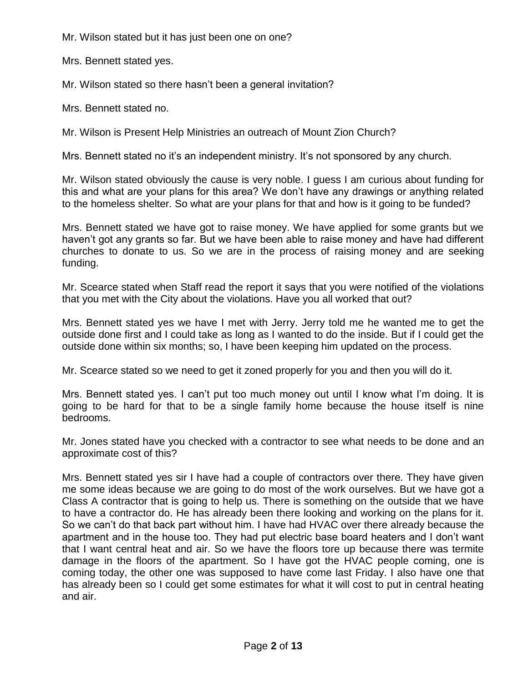Mr. Wilson stated but it has just been one on one?

Mrs. Bennett stated yes.

Mr. Wilson stated so there hasn't been a general invitation?

Mrs. Bennett stated no.

Mr. Wilson is Present Help Ministries an outreach of Mount Zion Church?

Mrs. Bennett stated no it's an independent ministry. It's not sponsored by any church.

Mr. Wilson stated obviously the cause is very noble. I guess I am curious about funding for this and what are your plans for this area? We don't have any drawings or anything related to the homeless shelter. So what are your plans for that and how is it going to be funded?

Mrs. Bennett stated we have got to raise money. We have applied for some grants but we haven't got any grants so far. But we have been able to raise money and have had different churches to donate to us. So we are in the process of raising money and are seeking funding.

Mr. Scearce stated when Staff read the report it says that you were notified of the violations that you met with the City about the violations. Have you all worked that out?

Mrs. Bennett stated yes we have I met with Jerry. Jerry told me he wanted me to get the outside done first and I could take as long as I wanted to do the inside. But if I could get the outside done within six months; so, I have been keeping him updated on the process.

Mr. Scearce stated so we need to get it zoned properly for you and then you will do it.

Mrs. Bennett stated yes. I can't put too much money out until I know what I'm doing. It is going to be hard for that to be a single family home because the house itself is nine bedrooms.

Mr. Jones stated have you checked with a contractor to see what needs to be done and an approximate cost of this?

Mrs. Bennett stated yes sir I have had a couple of contractors over there. They have given me some ideas because we are going to do most of the work ourselves. But we have got a Class A contractor that is going to help us. There is something on the outside that we have to have a contractor do. He has already been there looking and working on the plans for it. So we can't do that back part without him. I have had HVAC over there already because the apartment and in the house too. They had put electric base board heaters and I don't want that I want central heat and air. So we have the floors tore up because there was termite damage in the floors of the apartment. So I have got the HVAC people coming, one is coming today, the other one was supposed to have come last Friday. I also have one that has already been so I could get some estimates for what it will cost to put in central heating and air.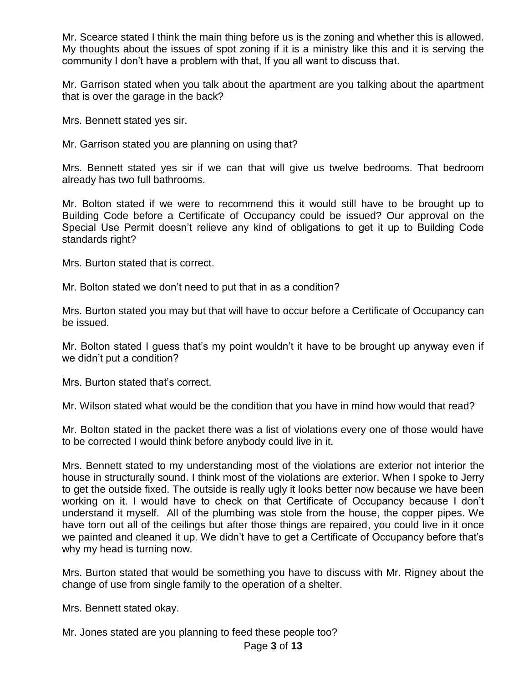Mr. Scearce stated I think the main thing before us is the zoning and whether this is allowed. My thoughts about the issues of spot zoning if it is a ministry like this and it is serving the community I don't have a problem with that, If you all want to discuss that.

Mr. Garrison stated when you talk about the apartment are you talking about the apartment that is over the garage in the back?

Mrs. Bennett stated yes sir.

Mr. Garrison stated you are planning on using that?

Mrs. Bennett stated yes sir if we can that will give us twelve bedrooms. That bedroom already has two full bathrooms.

Mr. Bolton stated if we were to recommend this it would still have to be brought up to Building Code before a Certificate of Occupancy could be issued? Our approval on the Special Use Permit doesn't relieve any kind of obligations to get it up to Building Code standards right?

Mrs. Burton stated that is correct.

Mr. Bolton stated we don't need to put that in as a condition?

Mrs. Burton stated you may but that will have to occur before a Certificate of Occupancy can be issued.

Mr. Bolton stated I guess that's my point wouldn't it have to be brought up anyway even if we didn't put a condition?

Mrs. Burton stated that's correct.

Mr. Wilson stated what would be the condition that you have in mind how would that read?

Mr. Bolton stated in the packet there was a list of violations every one of those would have to be corrected I would think before anybody could live in it.

Mrs. Bennett stated to my understanding most of the violations are exterior not interior the house in structurally sound. I think most of the violations are exterior. When I spoke to Jerry to get the outside fixed. The outside is really ugly it looks better now because we have been working on it. I would have to check on that Certificate of Occupancy because I don't understand it myself. All of the plumbing was stole from the house, the copper pipes. We have torn out all of the ceilings but after those things are repaired, you could live in it once we painted and cleaned it up. We didn't have to get a Certificate of Occupancy before that's why my head is turning now.

Mrs. Burton stated that would be something you have to discuss with Mr. Rigney about the change of use from single family to the operation of a shelter.

Mrs. Bennett stated okay.

Mr. Jones stated are you planning to feed these people too?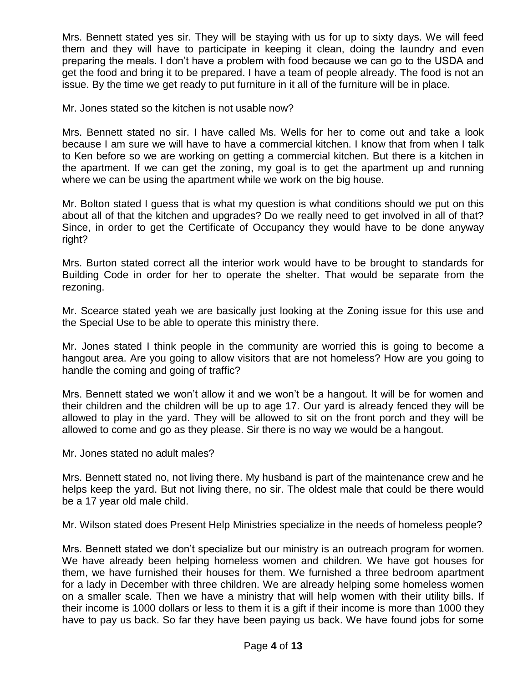Mrs. Bennett stated yes sir. They will be staying with us for up to sixty days. We will feed them and they will have to participate in keeping it clean, doing the laundry and even preparing the meals. I don't have a problem with food because we can go to the USDA and get the food and bring it to be prepared. I have a team of people already. The food is not an issue. By the time we get ready to put furniture in it all of the furniture will be in place.

Mr. Jones stated so the kitchen is not usable now?

Mrs. Bennett stated no sir. I have called Ms. Wells for her to come out and take a look because I am sure we will have to have a commercial kitchen. I know that from when I talk to Ken before so we are working on getting a commercial kitchen. But there is a kitchen in the apartment. If we can get the zoning, my goal is to get the apartment up and running where we can be using the apartment while we work on the big house.

Mr. Bolton stated I guess that is what my question is what conditions should we put on this about all of that the kitchen and upgrades? Do we really need to get involved in all of that? Since, in order to get the Certificate of Occupancy they would have to be done anyway right?

Mrs. Burton stated correct all the interior work would have to be brought to standards for Building Code in order for her to operate the shelter. That would be separate from the rezoning.

Mr. Scearce stated yeah we are basically just looking at the Zoning issue for this use and the Special Use to be able to operate this ministry there.

Mr. Jones stated I think people in the community are worried this is going to become a hangout area. Are you going to allow visitors that are not homeless? How are you going to handle the coming and going of traffic?

Mrs. Bennett stated we won't allow it and we won't be a hangout. It will be for women and their children and the children will be up to age 17. Our yard is already fenced they will be allowed to play in the yard. They will be allowed to sit on the front porch and they will be allowed to come and go as they please. Sir there is no way we would be a hangout.

Mr. Jones stated no adult males?

Mrs. Bennett stated no, not living there. My husband is part of the maintenance crew and he helps keep the yard. But not living there, no sir. The oldest male that could be there would be a 17 year old male child.

Mr. Wilson stated does Present Help Ministries specialize in the needs of homeless people?

Mrs. Bennett stated we don't specialize but our ministry is an outreach program for women. We have already been helping homeless women and children. We have got houses for them, we have furnished their houses for them. We furnished a three bedroom apartment for a lady in December with three children. We are already helping some homeless women on a smaller scale. Then we have a ministry that will help women with their utility bills. If their income is 1000 dollars or less to them it is a gift if their income is more than 1000 they have to pay us back. So far they have been paying us back. We have found jobs for some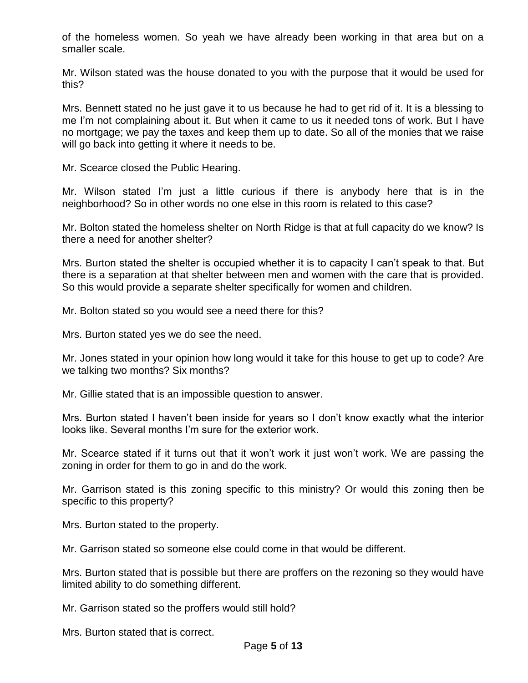of the homeless women. So yeah we have already been working in that area but on a smaller scale.

Mr. Wilson stated was the house donated to you with the purpose that it would be used for this?

Mrs. Bennett stated no he just gave it to us because he had to get rid of it. It is a blessing to me I'm not complaining about it. But when it came to us it needed tons of work. But I have no mortgage; we pay the taxes and keep them up to date. So all of the monies that we raise will go back into getting it where it needs to be.

Mr. Scearce closed the Public Hearing.

Mr. Wilson stated I'm just a little curious if there is anybody here that is in the neighborhood? So in other words no one else in this room is related to this case?

Mr. Bolton stated the homeless shelter on North Ridge is that at full capacity do we know? Is there a need for another shelter?

Mrs. Burton stated the shelter is occupied whether it is to capacity I can't speak to that. But there is a separation at that shelter between men and women with the care that is provided. So this would provide a separate shelter specifically for women and children.

Mr. Bolton stated so you would see a need there for this?

Mrs. Burton stated yes we do see the need.

Mr. Jones stated in your opinion how long would it take for this house to get up to code? Are we talking two months? Six months?

Mr. Gillie stated that is an impossible question to answer.

Mrs. Burton stated I haven't been inside for years so I don't know exactly what the interior looks like. Several months I'm sure for the exterior work.

Mr. Scearce stated if it turns out that it won't work it just won't work. We are passing the zoning in order for them to go in and do the work.

Mr. Garrison stated is this zoning specific to this ministry? Or would this zoning then be specific to this property?

Mrs. Burton stated to the property.

Mr. Garrison stated so someone else could come in that would be different.

Mrs. Burton stated that is possible but there are proffers on the rezoning so they would have limited ability to do something different.

Mr. Garrison stated so the proffers would still hold?

Mrs. Burton stated that is correct.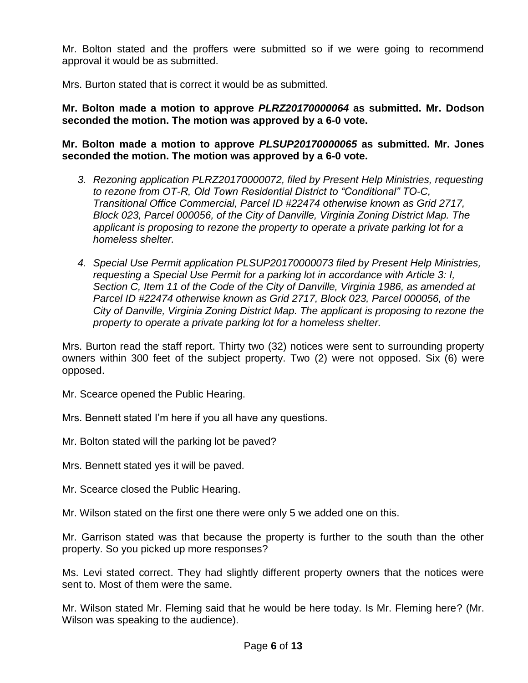Mr. Bolton stated and the proffers were submitted so if we were going to recommend approval it would be as submitted.

Mrs. Burton stated that is correct it would be as submitted.

**Mr. Bolton made a motion to approve** *PLRZ20170000064* **as submitted. Mr. Dodson seconded the motion. The motion was approved by a 6-0 vote.**

**Mr. Bolton made a motion to approve** *PLSUP20170000065* **as submitted. Mr. Jones seconded the motion. The motion was approved by a 6-0 vote.**

- *3. Rezoning application PLRZ20170000072, filed by Present Help Ministries, requesting to rezone from OT-R, Old Town Residential District to "Conditional" TO-C, Transitional Office Commercial, Parcel ID #22474 otherwise known as Grid 2717, Block 023, Parcel 000056, of the City of Danville, Virginia Zoning District Map. The applicant is proposing to rezone the property to operate a private parking lot for a homeless shelter.*
- *4. Special Use Permit application PLSUP20170000073 filed by Present Help Ministries, requesting a Special Use Permit for a parking lot in accordance with Article 3: I, Section C, Item 11 of the Code of the City of Danville, Virginia 1986, as amended at Parcel ID #22474 otherwise known as Grid 2717, Block 023, Parcel 000056, of the City of Danville, Virginia Zoning District Map. The applicant is proposing to rezone the property to operate a private parking lot for a homeless shelter.*

Mrs. Burton read the staff report. Thirty two (32) notices were sent to surrounding property owners within 300 feet of the subject property. Two (2) were not opposed. Six (6) were opposed.

Mr. Scearce opened the Public Hearing.

Mrs. Bennett stated I'm here if you all have any questions.

Mr. Bolton stated will the parking lot be paved?

Mrs. Bennett stated yes it will be paved.

Mr. Scearce closed the Public Hearing.

Mr. Wilson stated on the first one there were only 5 we added one on this.

Mr. Garrison stated was that because the property is further to the south than the other property. So you picked up more responses?

Ms. Levi stated correct. They had slightly different property owners that the notices were sent to. Most of them were the same.

Mr. Wilson stated Mr. Fleming said that he would be here today. Is Mr. Fleming here? (Mr. Wilson was speaking to the audience).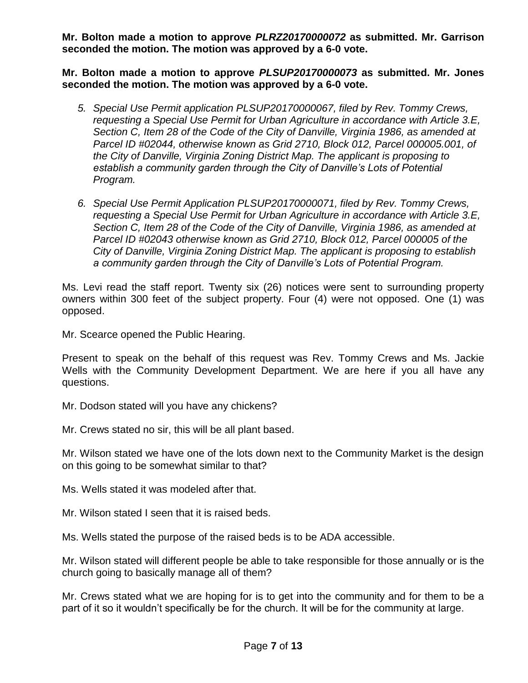**Mr. Bolton made a motion to approve** *PLRZ20170000072* **as submitted. Mr. Garrison seconded the motion. The motion was approved by a 6-0 vote.**

**Mr. Bolton made a motion to approve** *PLSUP20170000073* **as submitted. Mr. Jones seconded the motion. The motion was approved by a 6-0 vote.**

- *5. Special Use Permit application PLSUP20170000067, filed by Rev. Tommy Crews, requesting a Special Use Permit for Urban Agriculture in accordance with Article 3.E, Section C, Item 28 of the Code of the City of Danville, Virginia 1986, as amended at Parcel ID #02044, otherwise known as Grid 2710, Block 012, Parcel 000005.001, of the City of Danville, Virginia Zoning District Map. The applicant is proposing to establish a community garden through the City of Danville's Lots of Potential Program.*
- *6. Special Use Permit Application PLSUP20170000071, filed by Rev. Tommy Crews, requesting a Special Use Permit for Urban Agriculture in accordance with Article 3.E, Section C, Item 28 of the Code of the City of Danville, Virginia 1986, as amended at Parcel ID #02043 otherwise known as Grid 2710, Block 012, Parcel 000005 of the City of Danville, Virginia Zoning District Map. The applicant is proposing to establish a community garden through the City of Danville's Lots of Potential Program.*

Ms. Levi read the staff report. Twenty six (26) notices were sent to surrounding property owners within 300 feet of the subject property. Four (4) were not opposed. One (1) was opposed.

Mr. Scearce opened the Public Hearing.

Present to speak on the behalf of this request was Rev. Tommy Crews and Ms. Jackie Wells with the Community Development Department. We are here if you all have any questions.

Mr. Dodson stated will you have any chickens?

Mr. Crews stated no sir, this will be all plant based.

Mr. Wilson stated we have one of the lots down next to the Community Market is the design on this going to be somewhat similar to that?

Ms. Wells stated it was modeled after that.

Mr. Wilson stated I seen that it is raised beds.

Ms. Wells stated the purpose of the raised beds is to be ADA accessible.

Mr. Wilson stated will different people be able to take responsible for those annually or is the church going to basically manage all of them?

Mr. Crews stated what we are hoping for is to get into the community and for them to be a part of it so it wouldn't specifically be for the church. It will be for the community at large.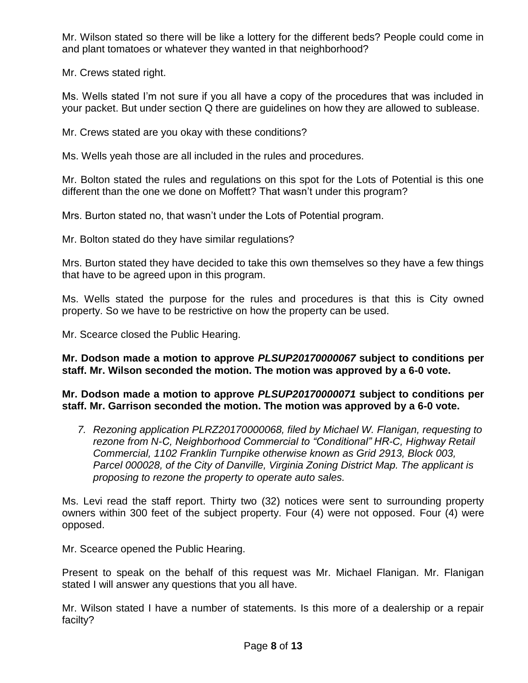Mr. Wilson stated so there will be like a lottery for the different beds? People could come in and plant tomatoes or whatever they wanted in that neighborhood?

Mr. Crews stated right.

Ms. Wells stated I'm not sure if you all have a copy of the procedures that was included in your packet. But under section Q there are guidelines on how they are allowed to sublease.

Mr. Crews stated are you okay with these conditions?

Ms. Wells yeah those are all included in the rules and procedures.

Mr. Bolton stated the rules and regulations on this spot for the Lots of Potential is this one different than the one we done on Moffett? That wasn't under this program?

Mrs. Burton stated no, that wasn't under the Lots of Potential program.

Mr. Bolton stated do they have similar regulations?

Mrs. Burton stated they have decided to take this own themselves so they have a few things that have to be agreed upon in this program.

Ms. Wells stated the purpose for the rules and procedures is that this is City owned property. So we have to be restrictive on how the property can be used.

Mr. Scearce closed the Public Hearing.

**Mr. Dodson made a motion to approve** *PLSUP20170000067* **subject to conditions per staff. Mr. Wilson seconded the motion. The motion was approved by a 6-0 vote.**

**Mr. Dodson made a motion to approve** *PLSUP20170000071* **subject to conditions per staff. Mr. Garrison seconded the motion. The motion was approved by a 6-0 vote.**

*7. Rezoning application PLRZ20170000068, filed by Michael W. Flanigan, requesting to rezone from N-C, Neighborhood Commercial to "Conditional" HR-C, Highway Retail Commercial, 1102 Franklin Turnpike otherwise known as Grid 2913, Block 003, Parcel 000028, of the City of Danville, Virginia Zoning District Map. The applicant is proposing to rezone the property to operate auto sales.* 

Ms. Levi read the staff report. Thirty two (32) notices were sent to surrounding property owners within 300 feet of the subject property. Four (4) were not opposed. Four (4) were opposed.

Mr. Scearce opened the Public Hearing.

Present to speak on the behalf of this request was Mr. Michael Flanigan. Mr. Flanigan stated I will answer any questions that you all have.

Mr. Wilson stated I have a number of statements. Is this more of a dealership or a repair facilty?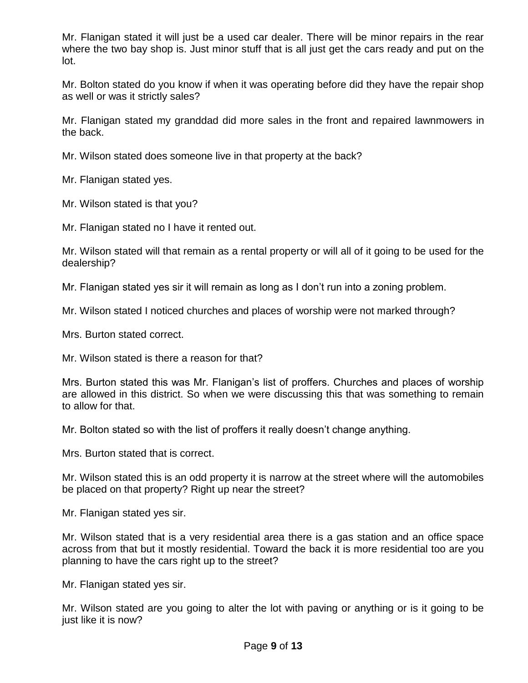Mr. Flanigan stated it will just be a used car dealer. There will be minor repairs in the rear where the two bay shop is. Just minor stuff that is all just get the cars ready and put on the lot.

Mr. Bolton stated do you know if when it was operating before did they have the repair shop as well or was it strictly sales?

Mr. Flanigan stated my granddad did more sales in the front and repaired lawnmowers in the back.

Mr. Wilson stated does someone live in that property at the back?

Mr. Flanigan stated yes.

Mr. Wilson stated is that you?

Mr. Flanigan stated no I have it rented out.

Mr. Wilson stated will that remain as a rental property or will all of it going to be used for the dealership?

Mr. Flanigan stated yes sir it will remain as long as I don't run into a zoning problem.

Mr. Wilson stated I noticed churches and places of worship were not marked through?

Mrs. Burton stated correct.

Mr. Wilson stated is there a reason for that?

Mrs. Burton stated this was Mr. Flanigan's list of proffers. Churches and places of worship are allowed in this district. So when we were discussing this that was something to remain to allow for that.

Mr. Bolton stated so with the list of proffers it really doesn't change anything.

Mrs. Burton stated that is correct.

Mr. Wilson stated this is an odd property it is narrow at the street where will the automobiles be placed on that property? Right up near the street?

Mr. Flanigan stated yes sir.

Mr. Wilson stated that is a very residential area there is a gas station and an office space across from that but it mostly residential. Toward the back it is more residential too are you planning to have the cars right up to the street?

Mr. Flanigan stated yes sir.

Mr. Wilson stated are you going to alter the lot with paving or anything or is it going to be just like it is now?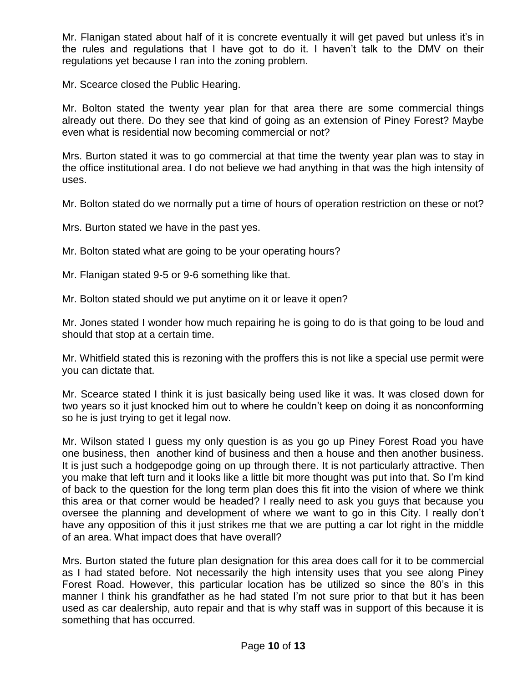Mr. Flanigan stated about half of it is concrete eventually it will get paved but unless it's in the rules and regulations that I have got to do it. I haven't talk to the DMV on their regulations yet because I ran into the zoning problem.

Mr. Scearce closed the Public Hearing.

Mr. Bolton stated the twenty year plan for that area there are some commercial things already out there. Do they see that kind of going as an extension of Piney Forest? Maybe even what is residential now becoming commercial or not?

Mrs. Burton stated it was to go commercial at that time the twenty year plan was to stay in the office institutional area. I do not believe we had anything in that was the high intensity of uses.

Mr. Bolton stated do we normally put a time of hours of operation restriction on these or not?

Mrs. Burton stated we have in the past yes.

Mr. Bolton stated what are going to be your operating hours?

Mr. Flanigan stated 9-5 or 9-6 something like that.

Mr. Bolton stated should we put anytime on it or leave it open?

Mr. Jones stated I wonder how much repairing he is going to do is that going to be loud and should that stop at a certain time.

Mr. Whitfield stated this is rezoning with the proffers this is not like a special use permit were you can dictate that.

Mr. Scearce stated I think it is just basically being used like it was. It was closed down for two years so it just knocked him out to where he couldn't keep on doing it as nonconforming so he is just trying to get it legal now.

Mr. Wilson stated I guess my only question is as you go up Piney Forest Road you have one business, then another kind of business and then a house and then another business. It is just such a hodgepodge going on up through there. It is not particularly attractive. Then you make that left turn and it looks like a little bit more thought was put into that. So I'm kind of back to the question for the long term plan does this fit into the vision of where we think this area or that corner would be headed? I really need to ask you guys that because you oversee the planning and development of where we want to go in this City. I really don't have any opposition of this it just strikes me that we are putting a car lot right in the middle of an area. What impact does that have overall?

Mrs. Burton stated the future plan designation for this area does call for it to be commercial as I had stated before. Not necessarily the high intensity uses that you see along Piney Forest Road. However, this particular location has be utilized so since the 80's in this manner I think his grandfather as he had stated I'm not sure prior to that but it has been used as car dealership, auto repair and that is why staff was in support of this because it is something that has occurred.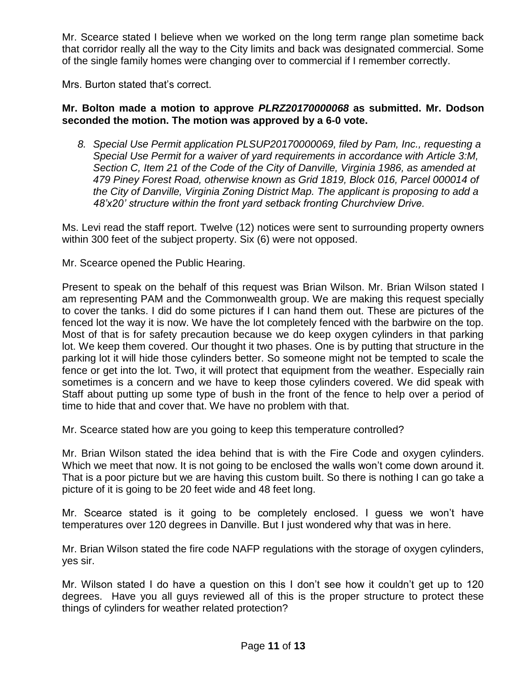Mr. Scearce stated I believe when we worked on the long term range plan sometime back that corridor really all the way to the City limits and back was designated commercial. Some of the single family homes were changing over to commercial if I remember correctly.

Mrs. Burton stated that's correct.

## **Mr. Bolton made a motion to approve** *PLRZ20170000068* **as submitted. Mr. Dodson seconded the motion. The motion was approved by a 6-0 vote.**

*8. Special Use Permit application PLSUP20170000069, filed by Pam, Inc., requesting a Special Use Permit for a waiver of yard requirements in accordance with Article 3:M, Section C, Item 21 of the Code of the City of Danville, Virginia 1986, as amended at 479 Piney Forest Road, otherwise known as Grid 1819, Block 016, Parcel 000014 of the City of Danville, Virginia Zoning District Map. The applicant is proposing to add a 48'x20' structure within the front yard setback fronting Churchview Drive.*

Ms. Levi read the staff report. Twelve (12) notices were sent to surrounding property owners within 300 feet of the subject property. Six (6) were not opposed.

Mr. Scearce opened the Public Hearing.

Present to speak on the behalf of this request was Brian Wilson. Mr. Brian Wilson stated I am representing PAM and the Commonwealth group. We are making this request specially to cover the tanks. I did do some pictures if I can hand them out. These are pictures of the fenced lot the way it is now. We have the lot completely fenced with the barbwire on the top. Most of that is for safety precaution because we do keep oxygen cylinders in that parking lot. We keep them covered. Our thought it two phases. One is by putting that structure in the parking lot it will hide those cylinders better. So someone might not be tempted to scale the fence or get into the lot. Two, it will protect that equipment from the weather. Especially rain sometimes is a concern and we have to keep those cylinders covered. We did speak with Staff about putting up some type of bush in the front of the fence to help over a period of time to hide that and cover that. We have no problem with that.

Mr. Scearce stated how are you going to keep this temperature controlled?

Mr. Brian Wilson stated the idea behind that is with the Fire Code and oxygen cylinders. Which we meet that now. It is not going to be enclosed the walls won't come down around it. That is a poor picture but we are having this custom built. So there is nothing I can go take a picture of it is going to be 20 feet wide and 48 feet long.

Mr. Scearce stated is it going to be completely enclosed. I guess we won't have temperatures over 120 degrees in Danville. But I just wondered why that was in here.

Mr. Brian Wilson stated the fire code NAFP regulations with the storage of oxygen cylinders, yes sir.

Mr. Wilson stated I do have a question on this I don't see how it couldn't get up to 120 degrees. Have you all guys reviewed all of this is the proper structure to protect these things of cylinders for weather related protection?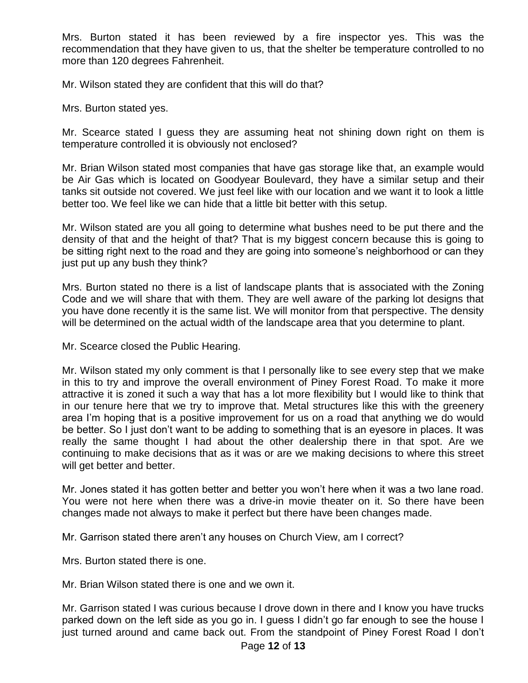Mrs. Burton stated it has been reviewed by a fire inspector yes. This was the recommendation that they have given to us, that the shelter be temperature controlled to no more than 120 degrees Fahrenheit.

Mr. Wilson stated they are confident that this will do that?

Mrs. Burton stated yes.

Mr. Scearce stated I guess they are assuming heat not shining down right on them is temperature controlled it is obviously not enclosed?

Mr. Brian Wilson stated most companies that have gas storage like that, an example would be Air Gas which is located on Goodyear Boulevard, they have a similar setup and their tanks sit outside not covered. We just feel like with our location and we want it to look a little better too. We feel like we can hide that a little bit better with this setup.

Mr. Wilson stated are you all going to determine what bushes need to be put there and the density of that and the height of that? That is my biggest concern because this is going to be sitting right next to the road and they are going into someone's neighborhood or can they just put up any bush they think?

Mrs. Burton stated no there is a list of landscape plants that is associated with the Zoning Code and we will share that with them. They are well aware of the parking lot designs that you have done recently it is the same list. We will monitor from that perspective. The density will be determined on the actual width of the landscape area that you determine to plant.

Mr. Scearce closed the Public Hearing.

Mr. Wilson stated my only comment is that I personally like to see every step that we make in this to try and improve the overall environment of Piney Forest Road. To make it more attractive it is zoned it such a way that has a lot more flexibility but I would like to think that in our tenure here that we try to improve that. Metal structures like this with the greenery area I'm hoping that is a positive improvement for us on a road that anything we do would be better. So I just don't want to be adding to something that is an eyesore in places. It was really the same thought I had about the other dealership there in that spot. Are we continuing to make decisions that as it was or are we making decisions to where this street will get better and better.

Mr. Jones stated it has gotten better and better you won't here when it was a two lane road. You were not here when there was a drive-in movie theater on it. So there have been changes made not always to make it perfect but there have been changes made.

Mr. Garrison stated there aren't any houses on Church View, am I correct?

Mrs. Burton stated there is one.

Mr. Brian Wilson stated there is one and we own it.

Mr. Garrison stated I was curious because I drove down in there and I know you have trucks parked down on the left side as you go in. I guess I didn't go far enough to see the house I just turned around and came back out. From the standpoint of Piney Forest Road I don't